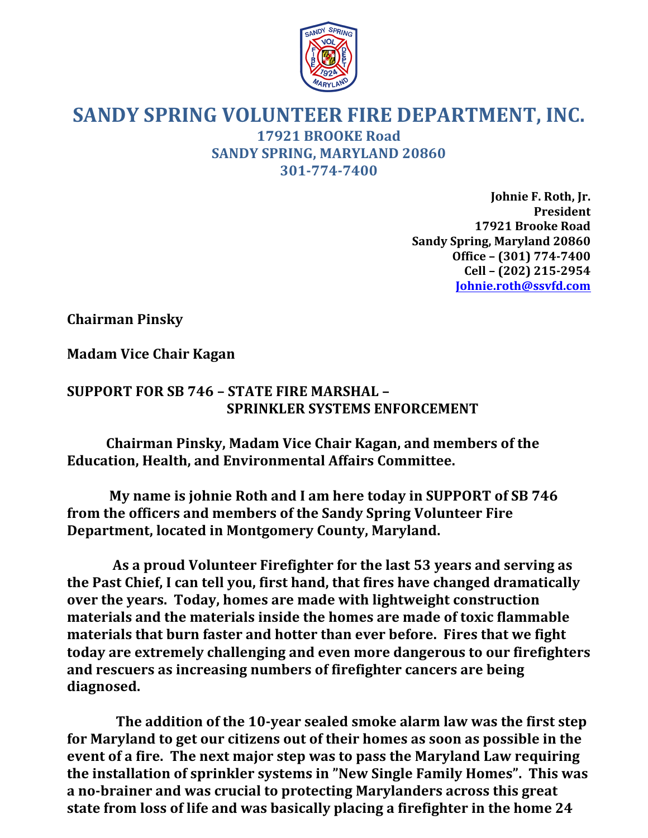

## **SANDY SPRING VOLUNTEER FIRE DEPARTMENT, INC. 17921 BROOKE Road SANDY SPRING, MARYLAND 20860 301-774-7400**

Johnie F. Roth, Jr. **President 17921 Brooke Road Sandy Spring, Maryland 20860 Office – (301) 774-7400 Cell – (202) 215-2954 Johnie.roth@ssvfd.com**

**Chairman Pinsky**

**Madam Vice Chair Kagan**

## **SUPPORT FOR SB 746 - STATE FIRE MARSHAL -SPRINKLER SYSTEMS ENFORCEMENT**

**Chairman Pinsky, Madam Vice Chair Kagan, and members of the Education, Health, and Environmental Affairs Committee.**

My name is johnie Roth and I am here today in SUPPORT of SB 746 from the officers and members of the Sandy Spring Volunteer Fire **Department, located in Montgomery County, Maryland.** 

As a proud Volunteer Firefighter for the last 53 years and serving as the Past Chief, I can tell you, first hand, that fires have changed dramatically **over the years. Today, homes are made with lightweight construction materials and the materials inside the homes are made of toxic flammable materials that burn faster and hotter than ever before. Fires that we fight today are extremely challenging and even more dangerous to our firefighters** and rescuers as increasing numbers of firefighter cancers are being **diagnosed.**

The addition of the 10-year sealed smoke alarm law was the first step for Maryland to get our citizens out of their homes as soon as possible in the event of a fire. The next major step was to pass the Maryland Law requiring the installation of sprinkler systems in "New Single Family Homes". This was a no-brainer and was crucial to protecting Marylanders across this great state from loss of life and was basically placing a firefighter in the home 24